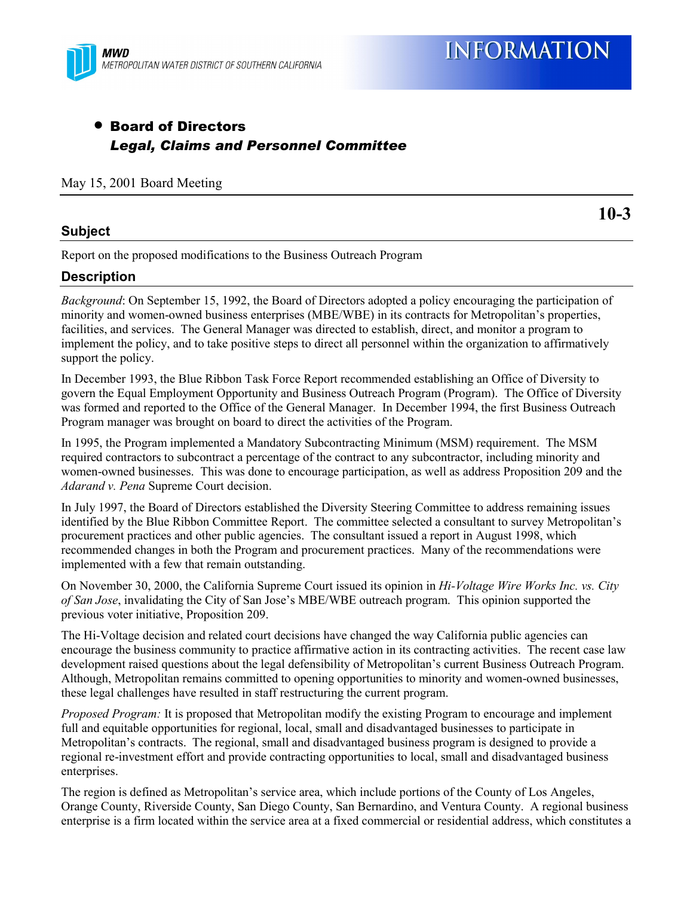

# • Board of Directors *Legal, Claims and Personnel Committee*

May 15, 2001 Board Meeting

#### **Subject**

**10-3**

Report on the proposed modifications to the Business Outreach Program

### **Description**

*Background*: On September 15, 1992, the Board of Directors adopted a policy encouraging the participation of minority and women-owned business enterprises (MBE/WBE) in its contracts for Metropolitan's properties, facilities, and services. The General Manager was directed to establish, direct, and monitor a program to implement the policy, and to take positive steps to direct all personnel within the organization to affirmatively support the policy.

In December 1993, the Blue Ribbon Task Force Report recommended establishing an Office of Diversity to govern the Equal Employment Opportunity and Business Outreach Program (Program). The Office of Diversity was formed and reported to the Office of the General Manager. In December 1994, the first Business Outreach Program manager was brought on board to direct the activities of the Program.

In 1995, the Program implemented a Mandatory Subcontracting Minimum (MSM) requirement. The MSM required contractors to subcontract a percentage of the contract to any subcontractor, including minority and women-owned businesses. This was done to encourage participation, as well as address Proposition 209 and the *Adarand v. Pena* Supreme Court decision.

In July 1997, the Board of Directors established the Diversity Steering Committee to address remaining issues identified by the Blue Ribbon Committee Report. The committee selected a consultant to survey Metropolitan's procurement practices and other public agencies. The consultant issued a report in August 1998, which recommended changes in both the Program and procurement practices. Many of the recommendations were implemented with a few that remain outstanding.

On November 30, 2000, the California Supreme Court issued its opinion in *Hi-Voltage Wire Works Inc. vs. City of San Jose*, invalidating the City of San Joseís MBE/WBE outreach program. This opinion supported the previous voter initiative, Proposition 209.

The Hi-Voltage decision and related court decisions have changed the way California public agencies can encourage the business community to practice affirmative action in its contracting activities. The recent case law development raised questions about the legal defensibility of Metropolitan's current Business Outreach Program. Although, Metropolitan remains committed to opening opportunities to minority and women-owned businesses, these legal challenges have resulted in staff restructuring the current program.

*Proposed Program:* It is proposed that Metropolitan modify the existing Program to encourage and implement full and equitable opportunities for regional, local, small and disadvantaged businesses to participate in Metropolitanís contracts. The regional, small and disadvantaged business program is designed to provide a regional re-investment effort and provide contracting opportunities to local, small and disadvantaged business enterprises.

The region is defined as Metropolitan's service area, which include portions of the County of Los Angeles, Orange County, Riverside County, San Diego County, San Bernardino, and Ventura County. A regional business enterprise is a firm located within the service area at a fixed commercial or residential address, which constitutes a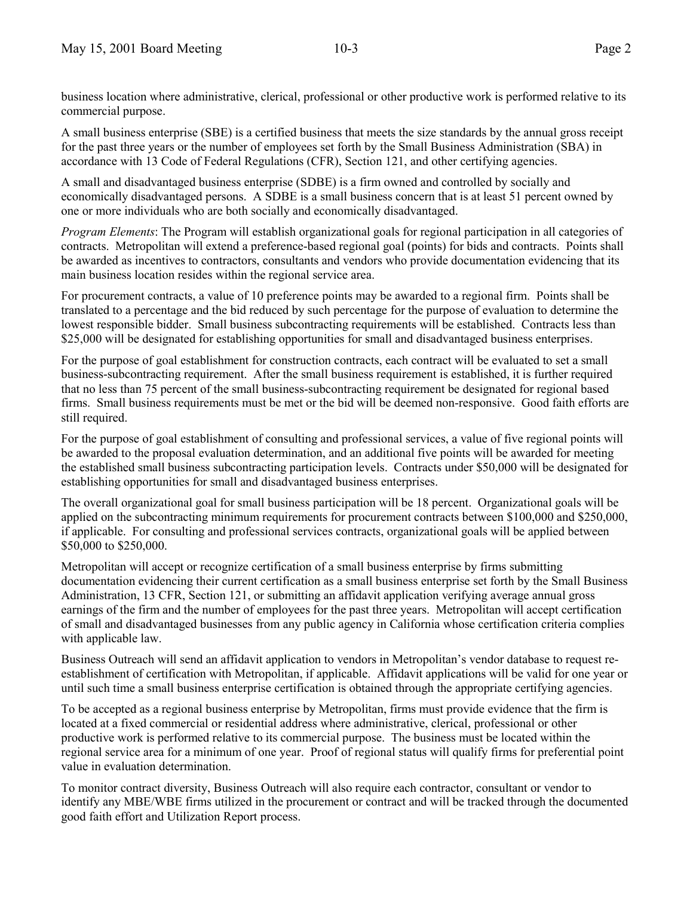business location where administrative, clerical, professional or other productive work is performed relative to its commercial purpose.

A small business enterprise (SBE) is a certified business that meets the size standards by the annual gross receipt for the past three years or the number of employees set forth by the Small Business Administration (SBA) in accordance with 13 Code of Federal Regulations (CFR), Section 121, and other certifying agencies.

A small and disadvantaged business enterprise (SDBE) is a firm owned and controlled by socially and economically disadvantaged persons. A SDBE is a small business concern that is at least 51 percent owned by one or more individuals who are both socially and economically disadvantaged.

*Program Elements*: The Program will establish organizational goals for regional participation in all categories of contracts. Metropolitan will extend a preference-based regional goal (points) for bids and contracts. Points shall be awarded as incentives to contractors, consultants and vendors who provide documentation evidencing that its main business location resides within the regional service area.

For procurement contracts, a value of 10 preference points may be awarded to a regional firm. Points shall be translated to a percentage and the bid reduced by such percentage for the purpose of evaluation to determine the lowest responsible bidder. Small business subcontracting requirements will be established. Contracts less than \$25,000 will be designated for establishing opportunities for small and disadvantaged business enterprises.

For the purpose of goal establishment for construction contracts, each contract will be evaluated to set a small business-subcontracting requirement. After the small business requirement is established, it is further required that no less than 75 percent of the small business-subcontracting requirement be designated for regional based firms. Small business requirements must be met or the bid will be deemed non-responsive. Good faith efforts are still required.

For the purpose of goal establishment of consulting and professional services, a value of five regional points will be awarded to the proposal evaluation determination, and an additional five points will be awarded for meeting the established small business subcontracting participation levels. Contracts under \$50,000 will be designated for establishing opportunities for small and disadvantaged business enterprises.

The overall organizational goal for small business participation will be 18 percent. Organizational goals will be applied on the subcontracting minimum requirements for procurement contracts between \$100,000 and \$250,000, if applicable. For consulting and professional services contracts, organizational goals will be applied between \$50,000 to \$250,000.

Metropolitan will accept or recognize certification of a small business enterprise by firms submitting documentation evidencing their current certification as a small business enterprise set forth by the Small Business Administration, 13 CFR, Section 121, or submitting an affidavit application verifying average annual gross earnings of the firm and the number of employees for the past three years. Metropolitan will accept certification of small and disadvantaged businesses from any public agency in California whose certification criteria complies with applicable law.

Business Outreach will send an affidavit application to vendors in Metropolitan's vendor database to request reestablishment of certification with Metropolitan, if applicable. Affidavit applications will be valid for one year or until such time a small business enterprise certification is obtained through the appropriate certifying agencies.

To be accepted as a regional business enterprise by Metropolitan, firms must provide evidence that the firm is located at a fixed commercial or residential address where administrative, clerical, professional or other productive work is performed relative to its commercial purpose. The business must be located within the regional service area for a minimum of one year. Proof of regional status will qualify firms for preferential point value in evaluation determination.

To monitor contract diversity, Business Outreach will also require each contractor, consultant or vendor to identify any MBE/WBE firms utilized in the procurement or contract and will be tracked through the documented good faith effort and Utilization Report process.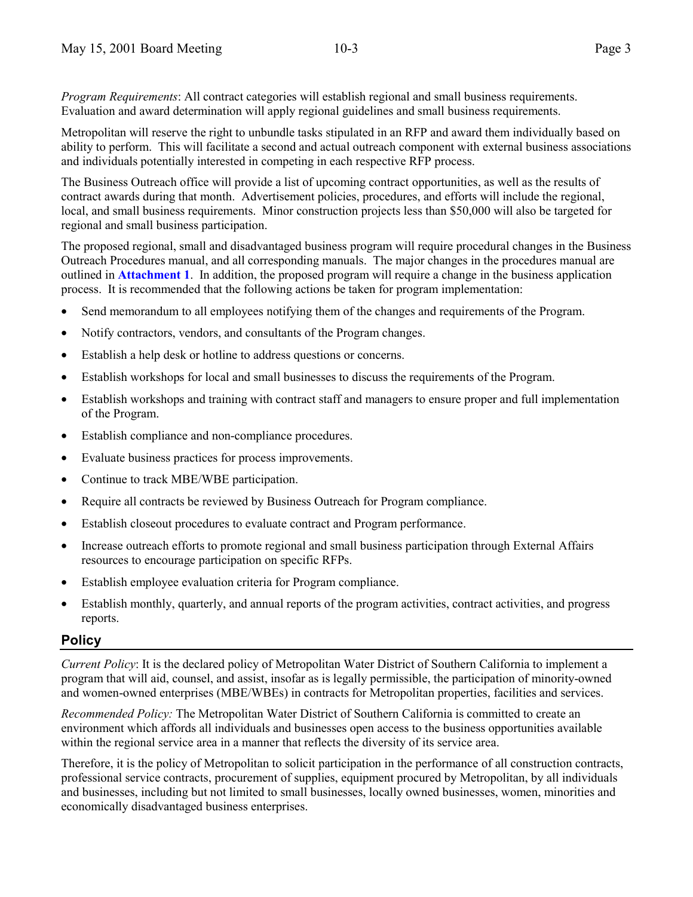*Program Requirements*: All contract categories will establish regional and small business requirements. Evaluation and award determination will apply regional guidelines and small business requirements.

Metropolitan will reserve the right to unbundle tasks stipulated in an RFP and award them individually based on ability to perform. This will facilitate a second and actual outreach component with external business associations and individuals potentially interested in competing in each respective RFP process.

The Business Outreach office will provide a list of upcoming contract opportunities, as well as the results of contract awards during that month. Advertisement policies, procedures, and efforts will include the regional, local, and small business requirements. Minor construction projects less than \$50,000 will also be targeted for regional and small business participation.

The proposed regional, small and disadvantaged business program will require procedural changes in the Business Outreach Procedures manual, and all corresponding manuals. The major changes in the procedures manual are outlined in **Attachment 1**. In addition, the proposed program will require a change in the business application process. It is recommended that the following actions be taken for program implementation:

- Send memorandum to all employees notifying them of the changes and requirements of the Program.
- Notify contractors, vendors, and consultants of the Program changes.
- Establish a help desk or hotline to address questions or concerns.
- Establish workshops for local and small businesses to discuss the requirements of the Program.
- Establish workshops and training with contract staff and managers to ensure proper and full implementation of the Program.
- Establish compliance and non-compliance procedures.
- Evaluate business practices for process improvements.
- Continue to track MBE/WBE participation.
- Require all contracts be reviewed by Business Outreach for Program compliance.
- Establish closeout procedures to evaluate contract and Program performance.
- Increase outreach efforts to promote regional and small business participation through External Affairs resources to encourage participation on specific RFPs.
- Establish employee evaluation criteria for Program compliance.
- Establish monthly, quarterly, and annual reports of the program activities, contract activities, and progress reports.

### **Policy**

*Current Policy*: It is the declared policy of Metropolitan Water District of Southern California to implement a program that will aid, counsel, and assist, insofar as is legally permissible, the participation of minority-owned and women-owned enterprises (MBE/WBEs) in contracts for Metropolitan properties, facilities and services.

*Recommended Policy:* The Metropolitan Water District of Southern California is committed to create an environment which affords all individuals and businesses open access to the business opportunities available within the regional service area in a manner that reflects the diversity of its service area.

Therefore, it is the policy of Metropolitan to solicit participation in the performance of all construction contracts, professional service contracts, procurement of supplies, equipment procured by Metropolitan, by all individuals and businesses, including but not limited to small businesses, locally owned businesses, women, minorities and economically disadvantaged business enterprises.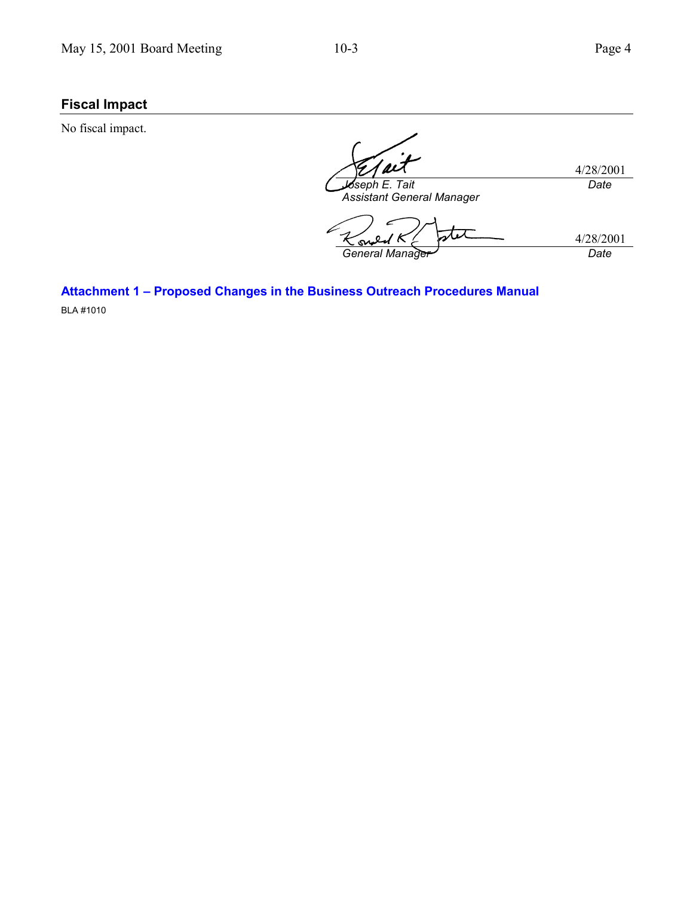sv

## **Fiscal Impact**

No fiscal impact.

4/28/2001 *Joseph E. Tait Assistant General Manager Date* 4/28/2001

*General Manager Date*

**Attachment 1 - Proposed Changes in the Business Outreach Procedures Manual** BLA #1010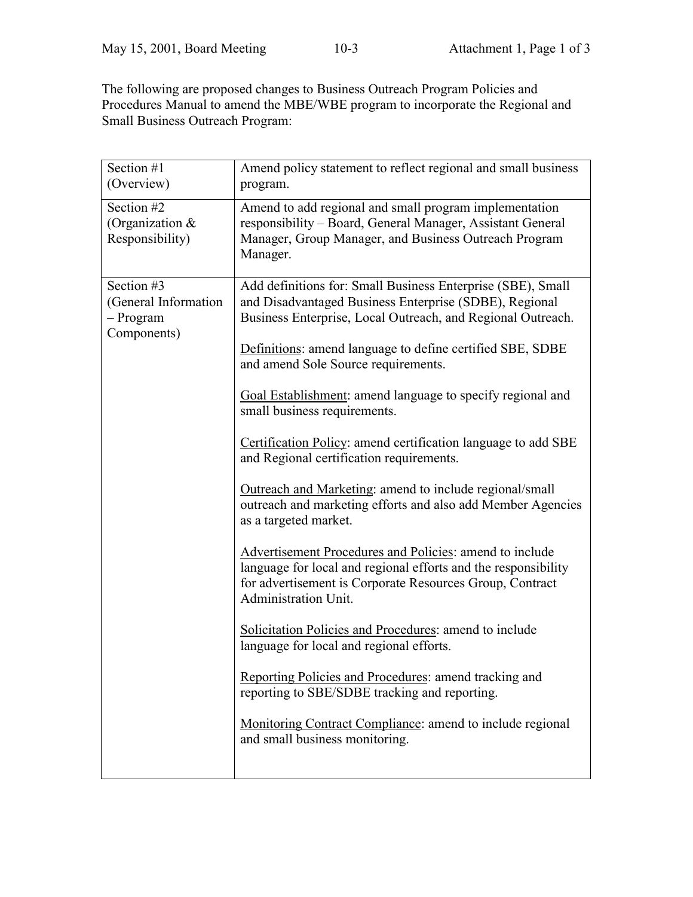The following are proposed changes to Business Outreach Program Policies and Procedures Manual to amend the MBE/WBE program to incorporate the Regional and Small Business Outreach Program:

| Section #1<br>(Overview)                                       | Amend policy statement to reflect regional and small business<br>program.                                                                                                                                                                                                                                                                                                                                                                                                                                                                                                                                                                                                                                                                                                                                                                                                                                                                                                                                                                                                                                                                                                                            |
|----------------------------------------------------------------|------------------------------------------------------------------------------------------------------------------------------------------------------------------------------------------------------------------------------------------------------------------------------------------------------------------------------------------------------------------------------------------------------------------------------------------------------------------------------------------------------------------------------------------------------------------------------------------------------------------------------------------------------------------------------------------------------------------------------------------------------------------------------------------------------------------------------------------------------------------------------------------------------------------------------------------------------------------------------------------------------------------------------------------------------------------------------------------------------------------------------------------------------------------------------------------------------|
| Section #2<br>(Organization $&$<br>Responsibility)             | Amend to add regional and small program implementation<br>responsibility - Board, General Manager, Assistant General<br>Manager, Group Manager, and Business Outreach Program<br>Manager.                                                                                                                                                                                                                                                                                                                                                                                                                                                                                                                                                                                                                                                                                                                                                                                                                                                                                                                                                                                                            |
| Section #3<br>(General Information<br>- Program<br>Components) | Add definitions for: Small Business Enterprise (SBE), Small<br>and Disadvantaged Business Enterprise (SDBE), Regional<br>Business Enterprise, Local Outreach, and Regional Outreach.<br>Definitions: amend language to define certified SBE, SDBE<br>and amend Sole Source requirements.<br>Goal Establishment: amend language to specify regional and<br>small business requirements.<br>Certification Policy: amend certification language to add SBE<br>and Regional certification requirements.<br>Outreach and Marketing: amend to include regional/small<br>outreach and marketing efforts and also add Member Agencies<br>as a targeted market.<br><b>Advertisement Procedures and Policies: amend to include</b><br>language for local and regional efforts and the responsibility<br>for advertisement is Corporate Resources Group, Contract<br>Administration Unit.<br>Solicitation Policies and Procedures: amend to include<br>language for local and regional efforts.<br>Reporting Policies and Procedures: amend tracking and<br>reporting to SBE/SDBE tracking and reporting.<br><b>Monitoring Contract Compliance:</b> amend to include regional<br>and small business monitoring. |
|                                                                |                                                                                                                                                                                                                                                                                                                                                                                                                                                                                                                                                                                                                                                                                                                                                                                                                                                                                                                                                                                                                                                                                                                                                                                                      |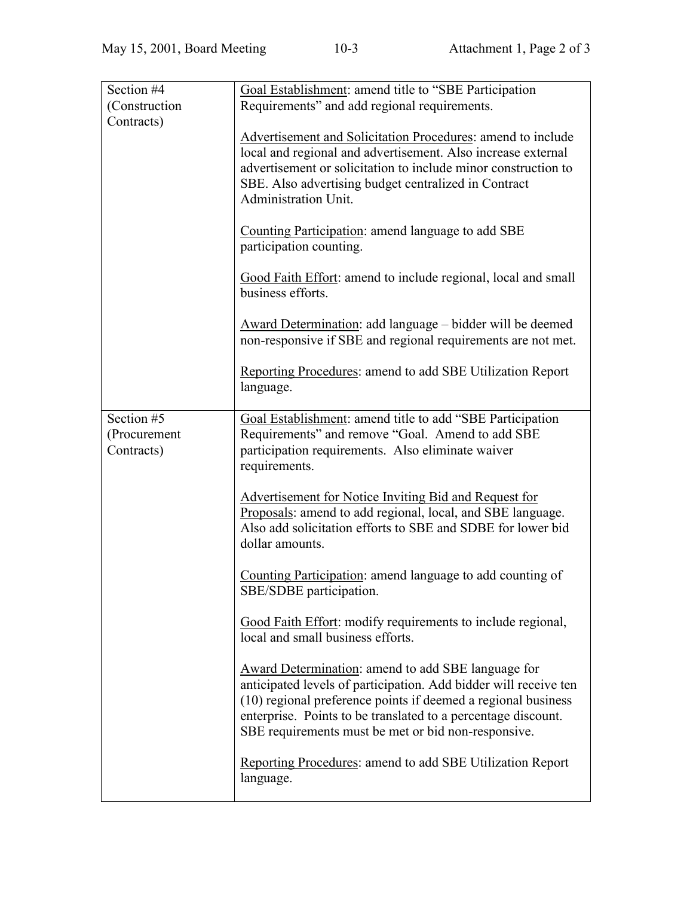| Section #4    | Goal Establishment: amend title to "SBE Participation                                                                                                                                                                                                                                                                  |
|---------------|------------------------------------------------------------------------------------------------------------------------------------------------------------------------------------------------------------------------------------------------------------------------------------------------------------------------|
| (Construction | Requirements" and add regional requirements.                                                                                                                                                                                                                                                                           |
| Contracts)    |                                                                                                                                                                                                                                                                                                                        |
|               | Advertisement and Solicitation Procedures: amend to include                                                                                                                                                                                                                                                            |
|               | local and regional and advertisement. Also increase external                                                                                                                                                                                                                                                           |
|               | advertisement or solicitation to include minor construction to                                                                                                                                                                                                                                                         |
|               | SBE. Also advertising budget centralized in Contract                                                                                                                                                                                                                                                                   |
|               | <b>Administration Unit.</b>                                                                                                                                                                                                                                                                                            |
|               | Counting Participation: amend language to add SBE<br>participation counting.                                                                                                                                                                                                                                           |
|               | Good Faith Effort: amend to include regional, local and small<br>business efforts.                                                                                                                                                                                                                                     |
|               | Award Determination: add language – bidder will be deemed<br>non-responsive if SBE and regional requirements are not met.                                                                                                                                                                                              |
|               | <b>Reporting Procedures: amend to add SBE Utilization Report</b><br>language.                                                                                                                                                                                                                                          |
| Section #5    | Goal Establishment: amend title to add "SBE Participation                                                                                                                                                                                                                                                              |
| (Procurement  | Requirements" and remove "Goal. Amend to add SBE                                                                                                                                                                                                                                                                       |
| Contracts)    | participation requirements. Also eliminate waiver                                                                                                                                                                                                                                                                      |
|               | requirements.                                                                                                                                                                                                                                                                                                          |
|               |                                                                                                                                                                                                                                                                                                                        |
|               | Advertisement for Notice Inviting Bid and Request for                                                                                                                                                                                                                                                                  |
|               | Proposals: amend to add regional, local, and SBE language.                                                                                                                                                                                                                                                             |
|               | Also add solicitation efforts to SBE and SDBE for lower bid                                                                                                                                                                                                                                                            |
|               | dollar amounts.                                                                                                                                                                                                                                                                                                        |
|               | Counting Participation: amend language to add counting of<br>SBE/SDBE participation.                                                                                                                                                                                                                                   |
|               | Good Faith Effort: modify requirements to include regional,<br>local and small business efforts.                                                                                                                                                                                                                       |
|               | <b>Award Determination: amend to add SBE language for</b><br>anticipated levels of participation. Add bidder will receive ten<br>(10) regional preference points if deemed a regional business<br>enterprise. Points to be translated to a percentage discount.<br>SBE requirements must be met or bid non-responsive. |
|               | <b>Reporting Procedures: amend to add SBE Utilization Report</b><br>language.                                                                                                                                                                                                                                          |